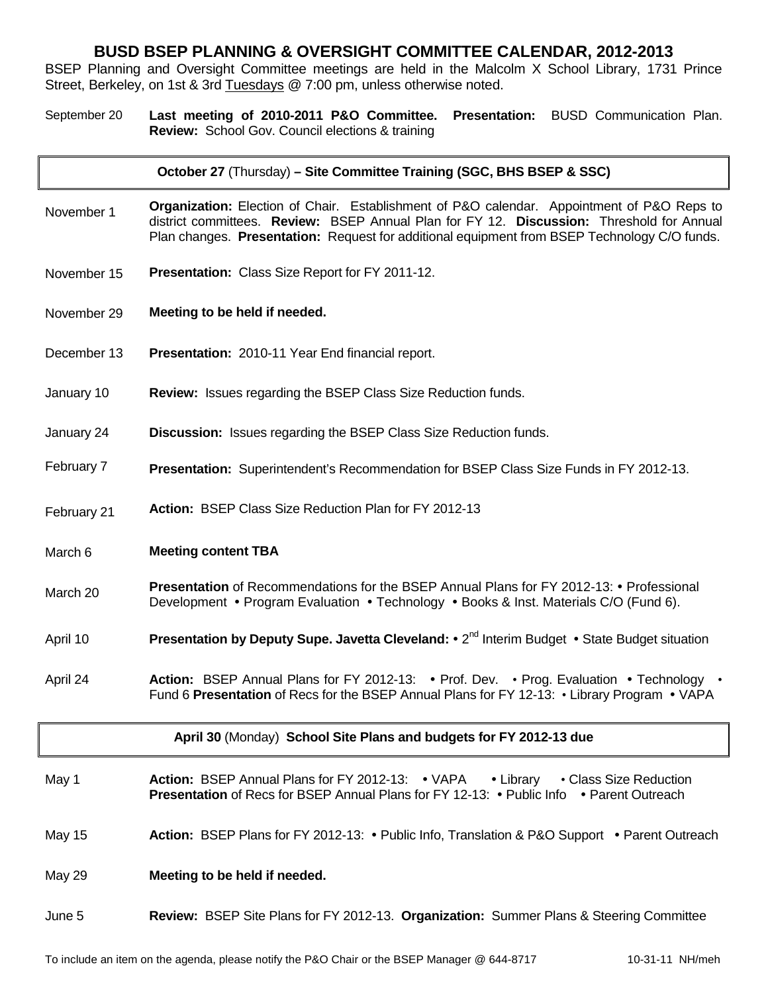## **BUSD BSEP PLANNING & OVERSIGHT COMMITTEE CALENDAR, 2012-2013**

BSEP Planning and Oversight Committee meetings are held in the Malcolm X School Library, 1731 Prince Street, Berkeley, on 1st & 3rd Tuesdays @ 7:00 pm, unless otherwise noted.

September 20 **Last meeting of 2010-2011 P&O Committee. Presentation:** BUSD Communication Plan. **Review:** School Gov. Council elections & training

#### **October 27** (Thursday) **– Site Committee Training (SGC, BHS BSEP & SSC)**

- November 1 **Organization:** Election of Chair. Establishment of P&O calendar. Appointment of P&O Reps to district committees. **Review:** BSEP Annual Plan for FY 12. **Discussion:** Threshold for Annual Plan changes. **Presentation:** Request for additional equipment from BSEP Technology C/O funds.
- November 15 **Presentation:** Class Size Report for FY 2011-12.
- November 29 **Meeting to be held if needed.**
- December 13 **Presentation:** 2010-11 Year End financial report.
- January 10 **Review:** Issues regarding the BSEP Class Size Reduction funds.
- January 24 **Discussion:** Issues regarding the BSEP Class Size Reduction funds.
- February 7 **Presentation:** Superintendent's Recommendation for BSEP Class Size Funds in FY 2012-13.
- February 21 **Action:** BSEP Class Size Reduction Plan for FY 2012-13
- March 6 **Meeting content TBA**
- March 20 **Presentation** of Recommendations for the BSEP Annual Plans for FY 2012-13: Professional Development • Program Evaluation • Technology • Books & Inst. Materials C/O (Fund 6).
- April 10 **Presentation by Deputy Supe. Javetta Cleveland:** 2<sup>nd</sup> Interim Budget State Budget situation
- April 24 **Action:** BSEP Annual Plans for FY 2012-13: Prof. Dev. Prog. Evaluation Technology Fund 6 **Presentation** of Recs for the BSEP Annual Plans for FY 12-13: • Library Program • VAPA

|               | April 30 (Monday) School Site Plans and budgets for FY 2012-13 due                                                                                                                             |
|---------------|------------------------------------------------------------------------------------------------------------------------------------------------------------------------------------------------|
| May 1         | <b>Action: BSEP Annual Plans for FY 2012-13: • VAPA • Library</b><br>• Class Size Reduction<br><b>Presentation</b> of Recs for BSEP Annual Plans for FY 12-13: • Public Info • Parent Outreach |
| May 15        | <b>Action: BSEP Plans for FY 2012-13: • Public Info, Translation &amp; P&amp;O Support • Parent Outreach</b>                                                                                   |
| <b>May 29</b> | Meeting to be held if needed.                                                                                                                                                                  |
| June 5        | <b>Review: BSEP Site Plans for FY 2012-13. Organization: Summer Plans &amp; Steering Committee</b>                                                                                             |